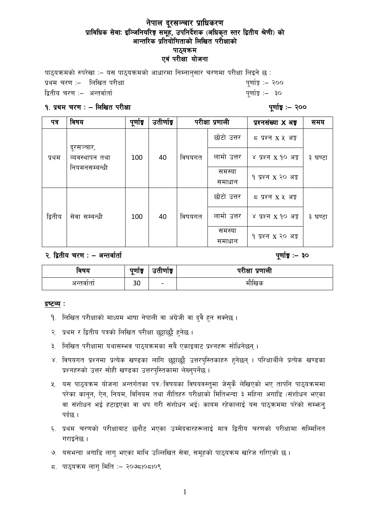## नेपाल दूरसञ्चार प्राधिकरण प्राविधिक सेवाः इञ्जिनियरिङ्ग समूह, उपनिर्देशक (अधिकृत स्तर द्वितीय श्रेणी) को आन्तरिक प्रतियोगिताको लिखित परीक्षाको पाठ्यक्रम एवं परीक्षा योजना

पाठयक्रमको रुपरेखा :- यस पाठयक्रमको आधारमा निम्नानुसार चरणमा परीक्षा लिइने छ : k|yd r/0f M— lnlvt k/LIff k"0ff{Í M— @)) låtLo r/0f M— cGtjf{tf{ k"0ff{Í M— #)

#### != k|yd r/0f M — lnlvt k/LIff k"0ff{Í M— @))

| पत्र    | विषय                                          | पूर्णाङ्क | उतीर्णाङ्ग |        | परीक्षा प्रणाली  | प्रश्नसंख्या X अ <del>ङ्</del>            | समय     |
|---------|-----------------------------------------------|-----------|------------|--------|------------------|-------------------------------------------|---------|
| प्रथम   | दूरसञ्चार,<br>व्यवस्थापन तथा<br>नियमनसम्बन्धी | 100       | 40         | विषयगत | छोटो उत्तर       | $5 \times 127$ $X \times 35$              | ३ घण्टा |
|         |                                               |           |            |        | लामो उत्तर       | ४ प्रश्न x १० अङ्क                        |         |
|         |                                               |           |            |        | समस्या<br>समाधान | १ प्रश्न X २० अङ्क                        |         |
| द्वितीय | सेवा सम्बन्धी                                 | 100       | 40         | विषयगत | छोटो उत्तर       | $5 \times 10^{-10}$ X $\frac{1}{20}$ अङ्क |         |
|         |                                               |           |            |        | लामो उत्तर       | ४ प्रश्न x १० अङ्क                        | ३ घण्टा |
|         |                                               |           |            |        | समस्या<br>समाधान | १ प्रश्न x २० अङ्ग                        |         |

२. द्वितीय चरण : – अन्तर्वार्ता

| ावषय     | पुणाङ्क<br>ົ | $\sim$<br>उताणाइ         | परीक्षा प्रणाली |
|----------|--------------|--------------------------|-----------------|
| अन्तवाता | 30           | $\overline{\phantom{0}}$ | माखिक           |

#### द्रष्टव्य :

- 9. लिखित परीक्षाको माध्यम भाषा नेपाली वा अंग्रेजी वा दुवै हुन सक्नेछ ।
- २. प्रथम र द्वितीय पत्रको लिखित परीक्षा छट्टाछट्टै हनेछ ।
- ३. लिखित परीक्षामा यथासम्भव पाठयक्रमका सबै एकाइबाट प्रश्नहरू सोधिनेछन् ।
- ४. विषयगत प्रश्नमा प्रत्येक खण्डका लागि छट्टाछट्टै उत्तरपुस्तिकाहरु हुनेछन् । परिक्षार्थीले प्रत्येक खण्डका प्रश्नहरुको उत्तर सोही खण्डका उत्तरपुस्तिकामा लेख्नुपर्नेछ ।
- $x_{i}$  यस पाठ्यक्रम योजना अन्तर्गतका पत्र /विषयका विषयवस्तुमा जेसकै लेखिएको भए तापनि पाठ्यक्रममा परेका कानून, ऐन, नियम, विनियम तथा नीतिहरु परीक्षाको मितिभन्दा ३ महिना अगाडि (संशोधन भएका वा संशोधन भई हटाइएका वा थप गरी संशोधन भई) कायम रहेकालाई यस पाठुक्रममा परेको सम्भून पर्दछ ।
- ६. प्रथम चरणको परीक्षाबाट छनौट भएका उम्मेदवारहरूलाई मात्र द्वितीय चरणको परीक्षामा सम्मिलित गराइनेछ ।
- **७. यसभन्दा अगाडि लाग् भएका माथि उल्लिखित सेवा, समूहको पाठ्यक्रम खारेज गरिएको छ।**
- $\leq$  पाठ्यक्रम लागु मिति :– २०७८।०८।०९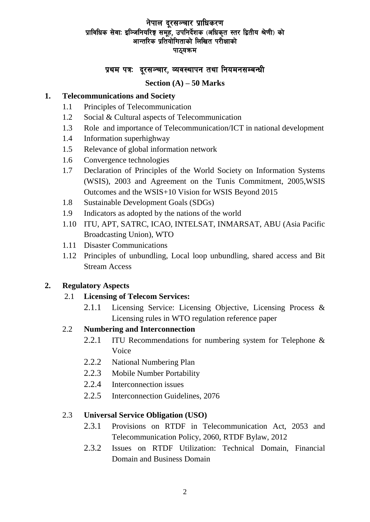# नेपाल दूरसञ्चार प्राधिकरण प्राविधिक सेवाः इञ्जिनियरिङ्ग समूहं, उपनिर्देशक (अधिकृत स्तर द्वितीय श्रेणी) को आन्तरिक प्रतियोगिताको लिखित परीक्षाको पाठ्यक्रम

# प्रथम पत्रः दरसञ्चार, व्यवस्थापन तथा नियमनसम्बन्धी

## **Section (A) – 50 Marks**

## **1. Telecommunications and Society**

- 1.1 Principles of Telecommunication
- 1.2 Social & Cultural aspects of Telecommunication
- 1.3 Role and importance of Telecommunication/ICT in national development
- 1.4 Information superhighway
- 1.5 Relevance of global information network
- 1.6 Convergence technologies
- 1.7 Declaration of Principles of the World Society on Information Systems (WSIS), 2003 and Agreement on the Tunis Commitment, 2005,WSIS Outcomes and the WSIS+10 Vision for WSIS Beyond 2015
- 1.8 Sustainable Development Goals (SDGs)
- 1.9 Indicators as adopted by the nations of the world
- 1.10 ITU, APT, SATRC, ICAO, INTELSAT, INMARSAT, ABU (Asia Pacific Broadcasting Union), WTO
- 1.11 Disaster Communications
- 1.12 Principles of unbundling, Local loop unbundling, shared access and Bit Stream Access

## **2. Regulatory Aspects**

#### 2.1 **Licensing of Telecom Services:**

2.1.1 Licensing Service: Licensing Objective, Licensing Process & Licensing rules in WTO regulation reference paper

#### 2.2 **Numbering and Interconnection**

- 2.2.1 ITU Recommendations for numbering system for Telephone & Voice
- 2.2.2 National Numbering Plan
- 2.2.3 Mobile Number Portability
- 2.2.4 Interconnection issues
- 2.2.5 Interconnection Guidelines, 2076

#### 2.3 **Universal Service Obligation (USO)**

- 2.3.1 Provisions on RTDF in Telecommunication Act, 2053 and Telecommunication Policy, 2060, RTDF Bylaw, 2012
- 2.3.2 Issues on RTDF Utilization: Technical Domain, Financial Domain and Business Domain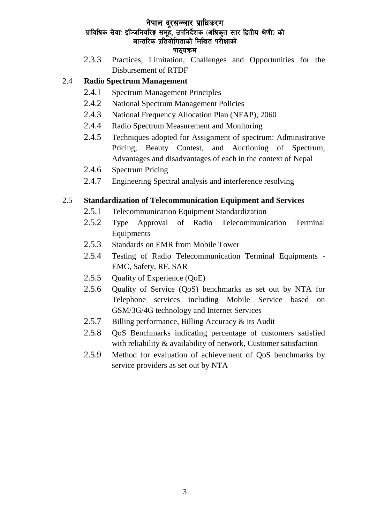# नेपाल दरसञ्चार प्राधिकरण प्राविधिक सेवाः इञ्जिनियरिङ्ग समूहं, उपनिर्देशक (अधिकृत स्तर द्वितीय श्रेणी) को आन्तरिक प्रतियोगिताको लिखित परीक्षाको

#### पाठयक्रम

2.3.3 Practices, Limitation, Challenges and Opportunities for the Disbursement of RTDF

# 2.4 **Radio Spectrum Management**

- 2.4.1 Spectrum Management Principles
- 2.4.2 National Spectrum Management Policies
- 2.4.3 National Frequency Allocation Plan (NFAP), 2060
- 2.4.4 Radio Spectrum Measurement and Monitoring
- 2.4.5 Techniques adopted for Assignment of spectrum: Administrative Pricing, Beauty Contest, and Auctioning of Spectrum, Advantages and disadvantages of each in the context of Nepal
- 2.4.6 Spectrum Pricing
- 2.4.7 Engineering Spectral analysis and interference resolving

# 2.5 **Standardization of Telecommunication Equipment and Services**

- 2.5.1 Telecommunication Equipment Standardization
- 2.5.2 Type Approval of Radio Telecommunication Terminal Equipments
- 2.5.3 Standards on EMR from Mobile Tower
- 2.5.4 Testing of Radio Telecommunication Terminal Equipments EMC, Safety, RF, SAR
- 2.5.5 Quality of Experience (QoE)
- 2.5.6 Quality of Service (QoS) benchmarks as set out by NTA for Telephone services including Mobile Service based on GSM/3G/4G technology and Internet Services
- 2.5.7 Billing performance, Billing Accuracy & its Audit
- 2.5.8 QoS Benchmarks indicating percentage of customers satisfied with reliability & availability of network, Customer satisfaction
- 2.5.9 Method for evaluation of achievement of QoS benchmarks by service providers as set out by NTA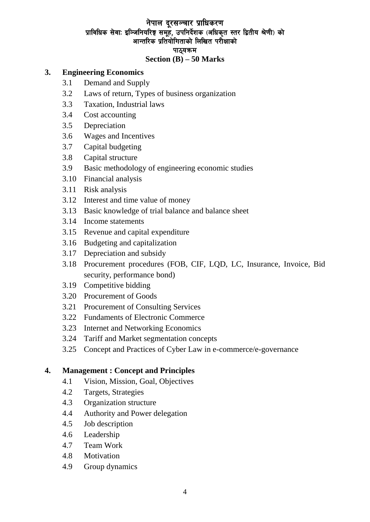# नेपाल दूरसञ्चार प्राधिकरण प्राविधिक सेवाः इञ्जिनियरिङ्ग समूह, उपनिर्देशक (अधिकृत स्तर द्वितीय श्रेणी) को आन्तरिक प्रतियोगिताको लिखित परीक्षाको पाठ्यक्रम

#### **Section (B) – 50 Marks**

#### **3. Engineering Economics**

- 3.1 Demand and Supply
- 3.2 Laws of return, Types of business organization
- 3.3 Taxation, Industrial laws
- 3.4 Cost accounting
- 3.5 Depreciation
- 3.6 Wages and Incentives
- 3.7 Capital budgeting
- 3.8 Capital structure
- 3.9 Basic methodology of engineering economic studies
- 3.10 Financial analysis
- 3.11 Risk analysis
- 3.12 Interest and time value of money
- 3.13 Basic knowledge of trial balance and balance sheet
- 3.14 Income statements
- 3.15 Revenue and capital expenditure
- 3.16 Budgeting and capitalization
- 3.17 Depreciation and subsidy
- 3.18 Procurement procedures (FOB, CIF, LQD, LC, Insurance, Invoice, Bid security, performance bond)
- 3.19 Competitive bidding
- 3.20 Procurement of Goods
- 3.21 Procurement of Consulting Services
- 3.22 Fundaments of Electronic Commerce
- 3.23 Internet and Networking Economics
- 3.24 Tariff and Market segmentation concepts
- 3.25 Concept and Practices of Cyber Law in e-commerce/e-governance

#### **4. Management : Concept and Principles**

- 4.1 Vision, Mission, Goal, Objectives
- 4.2 Targets, Strategies
- 4.3 Organization structure
- 4.4 Authority and Power delegation
- 4.5 Job description
- 4.6 Leadership
- 4.7 Team Work
- 4.8 Motivation
- 4.9 Group dynamics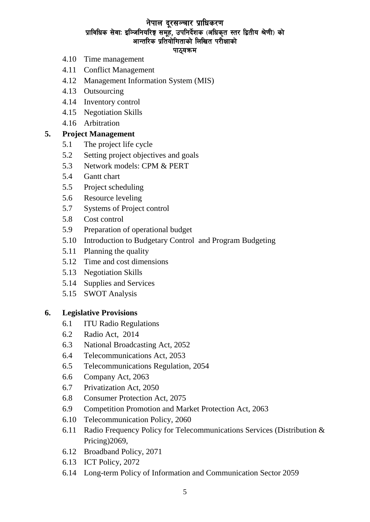# नेपाल दूरसञ्चार प्राधिकरण प्राविधिक सेवाः इञ्जिनियरिङ्ग समूहं, उपनिर्देशक (अधिकृत स्तर द्वितीय श्रेणी) को आन्तरिक प्रतियोगिताको लिखित परीक्षाको

#### पाठ्यक्रम

- 4.10 Time management
- 4.11 Conflict Management
- 4.12 Management Information System (MIS)
- 4.13 Outsourcing
- 4.14 Inventory control
- 4.15 Negotiation Skills
- 4.16 Arbitration

# **5. Project Management**

- 5.1 The project life cycle
- 5.2 Setting project objectives and goals
- 5.3 Network models: CPM & PERT
- 5.4 Gantt chart
- 5.5 Project scheduling
- 5.6 Resource leveling
- 5.7 Systems of Project control
- 5.8 Cost control
- 5.9 Preparation of operational budget
- 5.10 Introduction to Budgetary Control and Program Budgeting
- 5.11 Planning the quality
- 5.12 Time and cost dimensions
- 5.13 Negotiation Skills
- 5.14 Supplies and Services
- 5.15 SWOT Analysis

#### **6. Legislative Provisions**

- 6.1 ITU Radio Regulations
- 6.2 Radio Act, 2014
- 6.3 National Broadcasting Act, 2052
- 6.4 Telecommunications Act, 2053
- 6.5 Telecommunications Regulation, 2054
- 6.6 Company Act, 2063
- 6.7 Privatization Act, 2050
- 6.8 Consumer Protection Act, 2075
- 6.9 Competition Promotion and Market Protection Act, 2063
- 6.10 Telecommunication Policy, 2060
- 6.11 Radio Frequency Policy for Telecommunications Services (Distribution & Pricing)2069,
- 6.12 Broadband Policy, 2071
- 6.13 ICT Policy, 2072
- 6.14 [Long-term Policy of Information and Communication Sector 2059](http://www.moic.gov.np/upload/documents/Long-term-Policy-of-Information-and-Communication-Sector-2059-eng.pdf)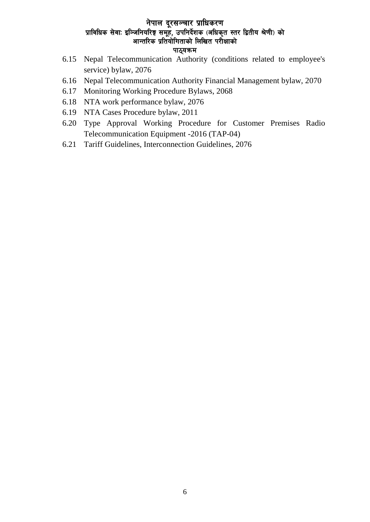# नेपाल दूरसञ्चार प्राधिकरण प्राविधिक सेवाः इञ्जिनियरिङ्ग समूहे, उपनिर्देशक (अधिकृत स्तर द्वितीय श्रेणी) को आन्तरिक प्रतियोगिताको लिखित परीक्षाको पाठ्यक्रम

- 6.15 Nepal Telecommunication Authority (conditions related to employee's service) bylaw, 2076
- 6.16 Nepal Telecommunication Authority Financial Management bylaw, 2070
- 6.17 Monitoring Working Procedure Bylaws, 2068
- 6.18 NTA work performance bylaw, 2076
- 6.19 NTA Cases Procedure bylaw, 2011
- 6.20 Type Approval Working Procedure for Customer Premises Radio Telecommunication Equipment -2016 (TAP-04)
- 6.21 Tariff Guidelines, Interconnection Guidelines, 2076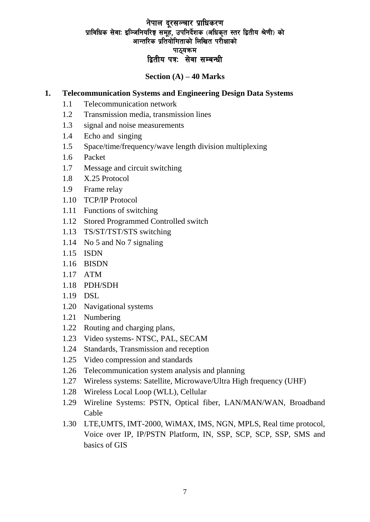# नेपाल दूरसञ्चार प्राधिकरण प्राविधिक सेवाः इञ्जिनियरिङ्ग समूहं, उपनिर्देशक (अधिकृत स्तर द्वितीय श्रेणी) को आन्तरिक प्रतियोगिताको लिखित परीक्षाको पाठयकम द्वितीय पत्रः सेवा सम्बन्धी

# **Section (A) – 40 Marks**

# **1. Telecommunication Systems and Engineering Design Data Systems**

- 1.1 Telecommunication network
- 1.2 Transmission media, transmission lines
- 1.3 signal and noise measurements
- 1.4 Echo and singing
- 1.5 Space/time/frequency/wave length division multiplexing
- 1.6 Packet
- 1.7 Message and circuit switching
- 1.8 X.25 Protocol
- 1.9 Frame relay
- 1.10 TCP/IP Protocol
- 1.11 Functions of switching
- 1.12 Stored Programmed Controlled switch
- 1.13 TS/ST/TST/STS switching
- 1.14 No 5 and No 7 signaling
- 1.15 ISDN
- 1.16 BISDN
- 1.17 ATM
- 1.18 PDH/SDH
- 1.19 DSL
- 1.20 Navigational systems
- 1.21 Numbering
- 1.22 Routing and charging plans,
- 1.23 Video systems- NTSC, PAL, SECAM
- 1.24 Standards, Transmission and reception
- 1.25 Video compression and standards
- 1.26 Telecommunication system analysis and planning
- 1.27 Wireless systems: Satellite, Microwave/Ultra High frequency (UHF)
- 1.28 Wireless Local Loop (WLL), Cellular
- 1.29 Wireline Systems: PSTN, Optical fiber, LAN/MAN/WAN, Broadband Cable
- 1.30 LTE,UMTS, IMT-2000, WiMAX, IMS, NGN, MPLS, Real time protocol, Voice over IP, IP/PSTN Platform, IN, SSP, SCP, SCP, SSP, SMS and basics of GIS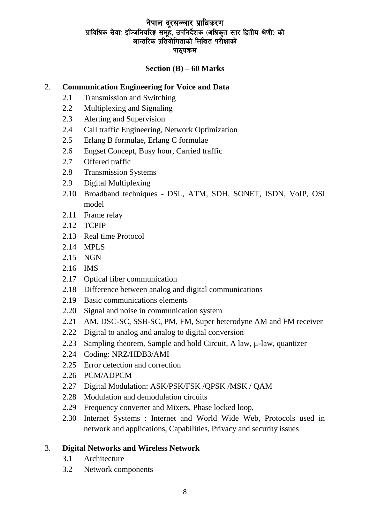# नेपाल दूरसञ्चार प्राधिकरण प्राविधिक सेवाः इञ्जिनियरिङ्ग समूहं, उपनिर्देशक (अधिकृत स्तर द्वितीय श्रेणी) को आन्तरिक प्रतियोगिताको लिखित परीक्षाको पाठ्यक्रम

# **Section (B) – 60 Marks**

# 2. **Communication Engineering for Voice and Data**

- 2.1 Transmission and Switching
- 2.2 Multiplexing and Signaling
- 2.3 Alerting and Supervision
- 2.4 Call traffic Engineering, Network Optimization
- 2.5 Erlang B formulae, Erlang C formulae
- 2.6 Engset Concept, Busy hour, Carried traffic
- 2.7 Offered traffic
- 2.8 Transmission Systems
- 2.9 Digital Multiplexing
- 2.10 Broadband techniques DSL, ATM, SDH, SONET, ISDN, VoIP, OSI model
- 2.11 Frame relay
- 2.12 TCPIP
- 2.13 Real time Protocol
- 2.14 MPLS
- 2.15 NGN
- 2.16 IMS
- 2.17 Optical fiber communication
- 2.18 Difference between analog and digital communications
- 2.19 Basic communications elements
- 2.20 Signal and noise in communication system
- 2.21 AM, DSC-SC, SSB-SC, PM, FM, Super heterodyne AM and FM receiver
- 2.22 Digital to analog and analog to digital conversion
- 2.23 Sampling theorem, Sample and hold Circuit, A law,  $\mu$ -law, quantizer
- 2.24 Coding: NRZ/HDB3/AMI
- 2.25 Error detection and correction
- 2.26 PCM/ADPCM
- 2.27 Digital Modulation: ASK/PSK/FSK /QPSK /MSK / QAM
- 2.28 Modulation and demodulation circuits
- 2.29 Frequency converter and Mixers, Phase locked loop,
- 2.30 Internet Systems : Internet and World Wide Web, Protocols used in network and applications, Capabilities, Privacy and security issues

# 3. **Digital Networks and Wireless Network**

- 3.1 Architecture
- 3.2 Network components